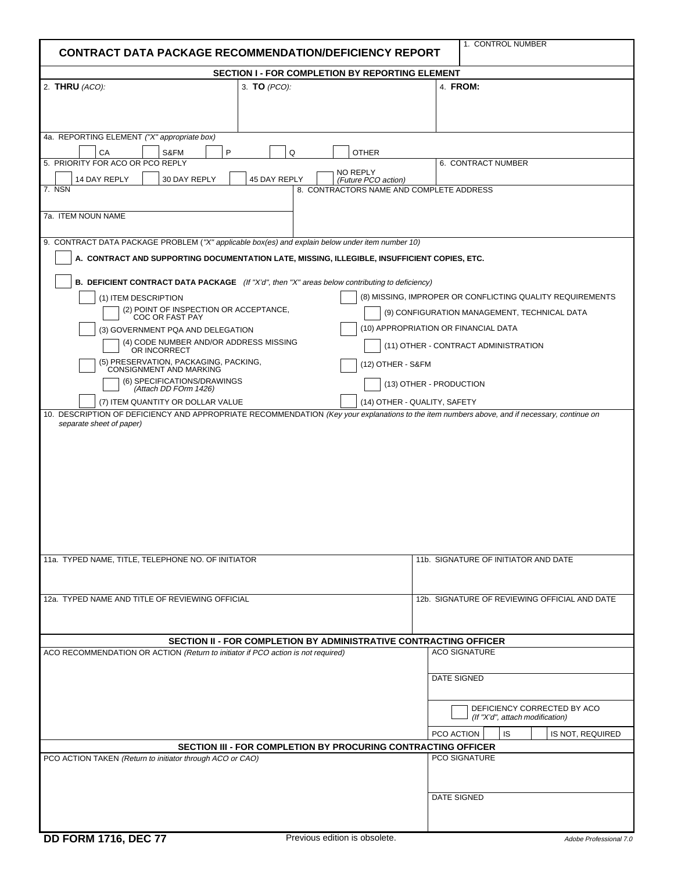| 1. CONTROL NUMBER<br><b>CONTRACT DATA PACKAGE RECOMMENDATION/DEFICIENCY REPORT</b>                                                                                                                                                                                                                                                                                                                                                                                                                                                                                                                      |                                                               |                                                                                                                                                                                                                                                      |
|---------------------------------------------------------------------------------------------------------------------------------------------------------------------------------------------------------------------------------------------------------------------------------------------------------------------------------------------------------------------------------------------------------------------------------------------------------------------------------------------------------------------------------------------------------------------------------------------------------|---------------------------------------------------------------|------------------------------------------------------------------------------------------------------------------------------------------------------------------------------------------------------------------------------------------------------|
| <b>SECTION I - FOR COMPLETION BY REPORTING ELEMENT</b>                                                                                                                                                                                                                                                                                                                                                                                                                                                                                                                                                  |                                                               |                                                                                                                                                                                                                                                      |
| 2. THRU (ACO):<br>3. <b>TO</b> (PCO):                                                                                                                                                                                                                                                                                                                                                                                                                                                                                                                                                                   |                                                               | 4. FROM:                                                                                                                                                                                                                                             |
| 4a. REPORTING ELEMENT ("X" appropriate box)<br>P<br>CA<br>S&FM                                                                                                                                                                                                                                                                                                                                                                                                                                                                                                                                          | Q<br><b>OTHER</b>                                             |                                                                                                                                                                                                                                                      |
| 5. PRIORITY FOR ACO OR PCO REPLY<br>14 DAY REPLY<br>30 DAY REPLY<br>45 DAY REPLY                                                                                                                                                                                                                                                                                                                                                                                                                                                                                                                        | NO REPLY<br>(Future PCO action)                               | 6. CONTRACT NUMBER                                                                                                                                                                                                                                   |
| 8. CONTRACTORS NAME AND COMPLETE ADDRESS<br>7. NSN<br>7a. ITEM NOUN NAME                                                                                                                                                                                                                                                                                                                                                                                                                                                                                                                                |                                                               |                                                                                                                                                                                                                                                      |
| 9. CONTRACT DATA PACKAGE PROBLEM ("X" applicable box(es) and explain below under item number 10)<br>A. CONTRACT AND SUPPORTING DOCUMENTATION LATE, MISSING, ILLEGIBLE, INSUFFICIENT COPIES, ETC.                                                                                                                                                                                                                                                                                                                                                                                                        |                                                               |                                                                                                                                                                                                                                                      |
| <b>B. DEFICIENT CONTRACT DATA PACKAGE</b> (If "X'd", then "X" areas below contributing to deficiency)<br>(1) ITEM DESCRIPTION<br>(2) POINT OF INSPECTION OR ACCEPTANCE,<br>COC OR FAST PAY<br>(3) GOVERNMENT PQA AND DELEGATION<br>(4) CODE NUMBER AND/OR ADDRESS MISSING<br>OR INCORRECT<br>(5) PRESERVATION, PACKAGING, PACKING, CONSIGNMENT AND MARKING<br>(6) SPECIFICATIONS/DRAWINGS<br>(Attach DD FOrm 1426)<br>(7) ITEM QUANTITY OR DOLLAR VALUE<br>10. DESCRIPTION OF DEFICIENCY AND APPROPRIATE RECOMMENDATION (Key your explanations to the item numbers above, and if necessary, continue on | (12) OTHER - S&FM                                             | (8) MISSING, IMPROPER OR CONFLICTING QUALITY REQUIREMENTS<br>(9) CONFIGURATION MANAGEMENT, TECHNICAL DATA<br>(10) APPROPRIATION OR FINANCIAL DATA<br>(11) OTHER - CONTRACT ADMINISTRATION<br>(13) OTHER - PRODUCTION<br>(14) OTHER - QUALITY, SAFETY |
| separate sheet of paper)                                                                                                                                                                                                                                                                                                                                                                                                                                                                                                                                                                                |                                                               |                                                                                                                                                                                                                                                      |
| 11a. TYPED NAME, TITLE, TELEPHONE NO. OF INITIATOR                                                                                                                                                                                                                                                                                                                                                                                                                                                                                                                                                      |                                                               | 11b. SIGNATURE OF INITIATOR AND DATE                                                                                                                                                                                                                 |
| 12a. TYPED NAME AND TITLE OF REVIEWING OFFICIAL                                                                                                                                                                                                                                                                                                                                                                                                                                                                                                                                                         |                                                               | 12b. SIGNATURE OF REVIEWING OFFICIAL AND DATE                                                                                                                                                                                                        |
| SECTION II - FOR COMPLETION BY ADMINISTRATIVE CONTRACTING OFFICER                                                                                                                                                                                                                                                                                                                                                                                                                                                                                                                                       |                                                               |                                                                                                                                                                                                                                                      |
| ACO RECOMMENDATION OR ACTION (Return to initiator if PCO action is not required)                                                                                                                                                                                                                                                                                                                                                                                                                                                                                                                        |                                                               | <b>ACO SIGNATURE</b><br><b>DATE SIGNED</b>                                                                                                                                                                                                           |
|                                                                                                                                                                                                                                                                                                                                                                                                                                                                                                                                                                                                         |                                                               | DEFICIENCY CORRECTED BY ACO<br>(If "X'd", attach modification)                                                                                                                                                                                       |
|                                                                                                                                                                                                                                                                                                                                                                                                                                                                                                                                                                                                         |                                                               | IS<br>IS NOT, REQUIRED<br>PCO ACTION                                                                                                                                                                                                                 |
| PCO ACTION TAKEN (Return to initiator through ACO or CAO)                                                                                                                                                                                                                                                                                                                                                                                                                                                                                                                                               | SECTION III - FOR COMPLETION BY PROCURING CONTRACTING OFFICER | PCO SIGNATURE                                                                                                                                                                                                                                        |
|                                                                                                                                                                                                                                                                                                                                                                                                                                                                                                                                                                                                         |                                                               | <b>DATE SIGNED</b>                                                                                                                                                                                                                                   |